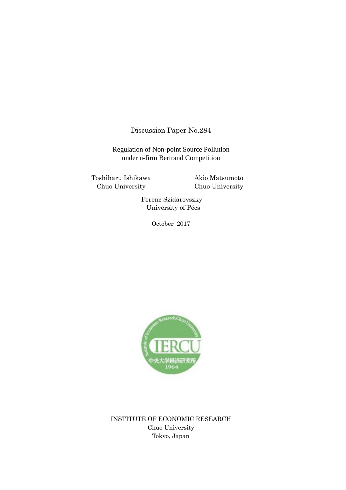Discussion Paper No.284

Regulation of Non-point Source Pollution under n-firm Bertrand Competition

Toshiharu Ishikawa Chuo University

Akio Matsumoto Chuo University

Ferenc Szidarovszky University of Pécs

October 2017



INSTITUTE OF ECONOMIC RESEARCH Chuo University Tokyo, Japan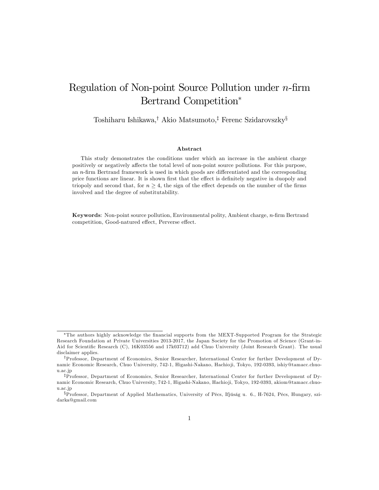# Regulation of Non-point Source Pollution under  $n$ -firm Bertrand Competition

Toshiharu Ishikawa,<sup>†</sup> Akio Matsumoto,<sup>‡</sup> Ferenc Szidarovszky<sup>§</sup>

#### Abstract

This study demonstrates the conditions under which an increase in the ambient charge positively or negatively a§ects the total level of non-point source pollutions. For this purpose, an  $n$ -firm Bertrand framework is used in which goods are differentiated and the corresponding price functions are linear. It is shown first that the effect is definitely negative in duopoly and triopoly and second that, for  $n \geq 4$ , the sign of the effect depends on the number of the firms involved and the degree of substitutability.

Keywords: Non-point source pollution, Environmental polity, Ambient charge, n-firm Bertrand competition, Good-natured effect, Perverse effect.

The authors highly acknowledge the Önancial supports from the MEXT-Supported Program for the Strategic Research Foundation at Private Universities 2013-2017, the Japan Society for the Promotion of Science (Grant-in-Aid for Scientific Research (C), 16K03556 and 17k03712) add Chuo University (Joint Research Grant). The usual disclaimer applies.

yProfessor, Department of Economics, Senior Researcher, International Center for further Development of Dynamic Economic Research, Chuo University, 742-1, Higashi-Nakano, Hachio ji, Tokyo, 192-0393, ishiy@tamacc.chuou.ac.jp

<sup>&</sup>lt;sup>‡</sup>Professor, Department of Economics, Senior Researcher, International Center for further Development of Dynamic Economic Research, Chuo University, 742-1, Higashi-Nakano, Hachioji, Tokyo, 192-0393, akiom@tamacc.chuou.ac.jp

<sup>&</sup>lt;sup>§</sup>Professor, Department of Applied Mathematics, University of Pécs, Ifjúság u. 6., H-7624, Pécs, Hungary, szidarka@gmail.com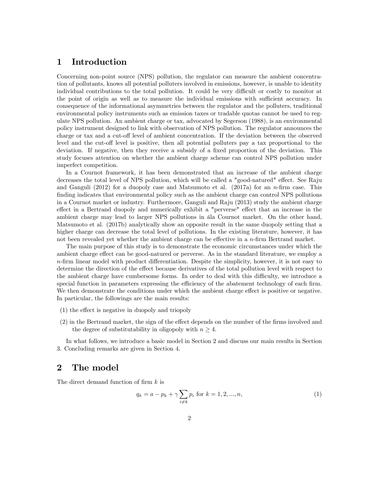### 1 Introduction

Concerning non-point source (NPS) pollution, the regulator can measure the ambient concentration of pollutants, knows all potential polluters involved in emissions, however, is unable to identity individual contributions to the total pollution. It could be very difficult or costly to monitor at the point of origin as well as to measure the individual emissions with sufficient accuracy. In consequence of the informational asymmetries between the regulator and the polluters, traditional environmental policy instruments such as emission taxes or tradable quotas cannot be used to regulate NPS pollution. An ambient charge or tax, advocated by Segerson (1988), is an environmental policy instrument designed to link with observation of NPS pollution. The regulator announces the charge or tax and a cut-off level of ambient concentration. If the deviation between the observed level and the cut-off level is positive, then all potential polluters pay a tax proportional to the deviation. If negative, then they receive a subsidy of a fixed proportion of the deviation. This study focuses attention on whether the ambient charge scheme can control NPS pollution under imperfect competition.

In a Cournot framework, it has been demonstrated that an increase of the ambient charge decreases the total level of NPS pollution, which will be called a "good-natured" effect. See Raju and Ganguli (2012) for a duopoly case and Matsumoto et al. (2017a) for an n-firm case. This finding indicates that environmental policy such as the ambient charge can control NPS pollutions in a Cournot market or industry. Furthermore, Ganguli and Raju (2013) study the ambient charge effect in a Bertrand duopoly and numerically exhibit a "perverse" effect that an increase in the ambient charge may lead to larger NPS pollutions in ala Cournot market. On the other hand, Matsumoto et al. (2017b) analytically show an opposite result in the same duopoly setting that a higher charge can decrease the total level of pollutions. In the existing literature, however, it has not been revealed yet whether the ambient charge can be effective in a  $n$ -firm Bertrand market.

The main purpose of this study is to demonstrate the economic circumstances under which the ambient charge effect can be good-natured or perverse. As in the standard literature, we employ a  $n$ -firm linear model with product differentiation. Despite the simplicity, however, it is not easy to determine the direction of the effect because derivatives of the total pollution level with respect to the ambient charge have cumbersome forms. In order to deal with this difficulty, we introduce a special function in parameters expressing the efficiency of the abatement technology of each firm. We then demonstrate the conditions under which the ambient charge effect is positive or negative. In particular, the followings are the main results:

- $(1)$  the effect is negative in duopoly and triopoly
- $(2)$  in the Bertrand market, the sign of the effect depends on the number of the firms involved and the degree of substitutability in oligopoly with  $n \geq 4$ .

In what follows, we introduce a basic model in Section 2 and discuss our main results in Section 3. Concluding remarks are given in Section 4.

### 2 The model

The direct demand function of firm  $k$  is

$$
q_k = a - p_k + \gamma \sum_{i \neq k} p_i \text{ for } k = 1, 2, ..., n,
$$
 (1)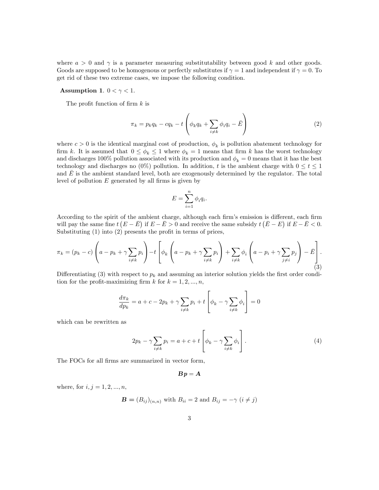where  $a > 0$  and  $\gamma$  is a parameter measuring substitutability between good k and other goods. Goods are supposed to be homogenous or perfectly substitutes if  $\gamma = 1$  and independent if  $\gamma = 0$ . To get rid of these two extreme cases, we impose the following condition.

#### Assumption 1.  $0 < \gamma < 1$ .

The profit function of firm  $k$  is

$$
\pi_k = p_k q_k - c q_k - t \left( \phi_k q_k + \sum_{i \neq k} \phi_i q_i - \bar{E} \right)
$$
\n(2)

where  $c > 0$  is the identical marginal cost of production,  $\phi_k$  is pollution abatement technology for firm k. It is assumed that  $0 \le \phi_k \le 1$  where  $\phi_k = 1$  means that firm k has the worst technology and discharges 100% pollution associated with its production and  $\phi_k = 0$  means that it has the best technology and discharges no  $(0\%)$  pollution. In addition, t is the ambient charge with  $0 \le t \le 1$ and  $\bar{E}$  is the ambient standard level, both are exogenously determined by the regulator. The total level of pollution  $E$  generated by all firms is given by

$$
E = \sum_{i=1}^{n} \phi_i q_i.
$$

According to the spirit of the ambient charge, although each firm's emission is different, each firm will pay the same fine  $t(E - \bar{E})$  if  $E - \bar{E} > 0$  and receive the same subsidy  $t(E - E)$  if  $E - \bar{E} < 0$ . Substituting  $(1)$  into  $(2)$  presents the profit in terms of prices,

$$
\pi_k = (p_k - c) \left( a - p_k + \gamma \sum_{i \neq k} p_i \right) - t \left[ \phi_k \left( a - p_k + \gamma \sum_{i \neq k} p_i \right) + \sum_{i \neq k} \phi_i \left( a - p_i + \gamma \sum_{j \neq i} p_j \right) - \bar{E} \right].
$$
\n(3)

Differentiating (3) with respect to  $p_k$  and assuming an interior solution yields the first order condition for the profit-maximizing firm k for  $k = 1, 2, ..., n$ ,

$$
\frac{d\pi_k}{dp_k} = a + c - 2p_k + \gamma \sum_{i \neq k} p_i + t \left[ \phi_k - \gamma \sum_{i \neq k} \phi_i \right] = 0
$$

which can be rewritten as

$$
2p_k - \gamma \sum_{i \neq k} p_i = a + c + t \left[ \phi_k - \gamma \sum_{i \neq k} \phi_i \right]. \tag{4}
$$

The FOCs for all firms are summarized in vector form,

$$
\bm{B}\bm{p}=\bm{A}
$$

where, for  $i, j = 1, 2, ..., n$ ,

$$
\mathbf{B} = (B_{ij})_{(n,n)}
$$
 with  $B_{ii} = 2$  and  $B_{ij} = -\gamma$   $(i \neq j)$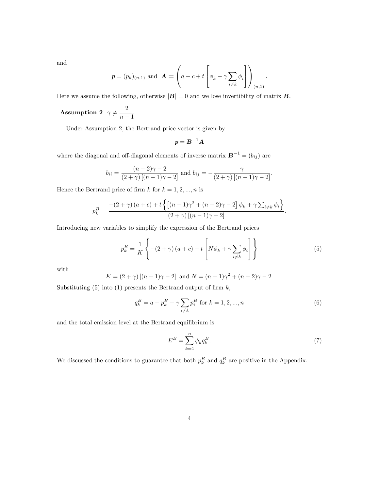and

$$
\boldsymbol{p} = (p_k)_{(n,1)} \text{ and } \boldsymbol{A} = \left( a + c + t \left[ \phi_k - \gamma \sum_{i \neq k} \phi_i \right] \right)_{(n,1)}
$$

Here we assume the following, otherwise  $|\mathbf{B}| = 0$  and we lose invertibility of matrix **B**.

Assumption 2.  $\gamma \neq \frac{2}{n-1}$  $n-1$ 

Under Assumption 2, the Bertrand price vector is given by

$$
\boldsymbol{p} = \boldsymbol{B}^{-1}\boldsymbol{A}
$$

where the diagonal and off-diagonal elements of inverse matrix  $\mathbf{B}^{-1} = (b_{ij})$  are

$$
b_{ii} = \frac{(n-2)\gamma - 2}{(2+\gamma)[(n-1)\gamma - 2]} \text{ and } b_{ij} = -\frac{\gamma}{(2+\gamma)[(n-1)\gamma - 2]}.
$$

Hence the Bertrand price of firm k for  $k = 1, 2, ..., n$  is

$$
p_k^B = \frac{-(2+\gamma)(a+c)+t\left\{\left[(n-1)\gamma^2+(n-2)\gamma-2\right]\phi_k+\gamma\sum_{i\neq k}\phi_i\right\}}{(2+\gamma)\left[(n-1)\gamma-2\right]}.
$$

Introducing new variables to simplify the expression of the Bertrand prices

$$
p_k^B = \frac{1}{K} \left\{ -(2+\gamma)(a+c) + t \left[ N\phi_k + \gamma \sum_{i \neq k} \phi_i \right] \right\} \tag{5}
$$

with

$$
K = (2 + \gamma) [(n - 1)\gamma - 2] \text{ and } N = (n - 1)\gamma^{2} + (n - 2)\gamma - 2.
$$

Substituting  $(5)$  into  $(1)$  presents the Bertrand output of firm  $k$ ,

$$
q_k^B = a - p_k^B + \gamma \sum_{i \neq k} p_i^B \text{ for } k = 1, 2, ..., n
$$
 (6)

and the total emission level at the Bertrand equilibrium is

$$
E^B = \sum_{k=1}^n \phi_k q_k^B. \tag{7}
$$

:

We discussed the conditions to guarantee that both  $p_k^B$  and  $q_k^B$  are positive in the Appendix.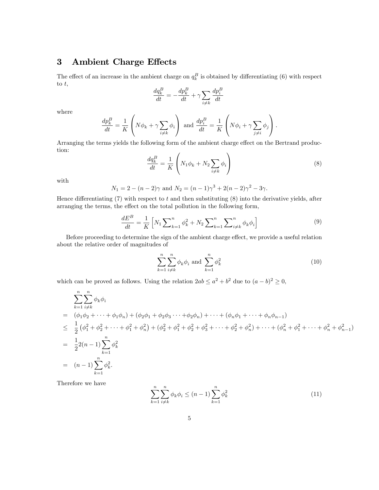## 3 Ambient Charge Effects

The effect of an increase in the ambient charge on  $q_k^B$  is obtained by differentiating (6) with respect to  $t$ ,

$$
\frac{dq_k^B}{dt} = -\frac{dp_k^B}{dt} + \gamma \sum_{i \neq k} \frac{dp_i^B}{dt}
$$

where

$$
\frac{dp_k^B}{dt} = \frac{1}{K} \left( N \phi_k + \gamma \sum_{i \neq k} \phi_i \right) \text{ and } \frac{dp_i^B}{dt} = \frac{1}{K} \left( N \phi_i + \gamma \sum_{j \neq i} \phi_j \right).
$$

Arranging the terms yields the following form of the ambient charge effect on the Bertrand production:

$$
\frac{dq_k^B}{dt} = \frac{1}{K} \left( N_1 \phi_k + N_2 \sum_{i \neq k} \phi_i \right) \tag{8}
$$

with

$$
N_1 = 2 - (n - 2)\gamma
$$
 and  $N_2 = (n - 1)\gamma^3 + 2(n - 2)\gamma^2 - 3\gamma$ .

Hence differentiating  $(7)$  with respect to t and then substituting  $(8)$  into the derivative yields, after arranging the terms, the effect on the total pollution in the following form,

$$
\frac{dE^B}{dt} = \frac{1}{K} \left[ N_1 \sum_{k=1}^n \phi_k^2 + N_2 \sum_{k=1}^n \sum_{i \neq k}^n \phi_k \phi_i \right] \tag{9}
$$

Before proceeding to determine the sign of the ambient charge effect, we provide a useful relation about the relative order of magnitudes of

$$
\sum_{k=1}^{n} \sum_{i \neq k}^{n} \phi_k \phi_i \text{ and } \sum_{k=1}^{n} \phi_k^2 \tag{10}
$$

which can be proved as follows. Using the relation  $2ab \le a^2 + b^2$  due to  $(a - b)^2 \ge 0$ ,

$$
\sum_{k=1}^{n} \sum_{i \neq k}^{n} \phi_k \phi_i
$$
\n
$$
= (\phi_1 \phi_2 + \dots + \phi_1 \phi_n) + (\phi_2 \phi_1 + \phi_2 \phi_3 \dots + \phi_2 \phi_n) + \dots + (\phi_n \phi_1 + \dots + \phi_n \phi_{n-1})
$$
\n
$$
\leq \frac{1}{2} (\phi_1^2 + \phi_2^2 + \dots + \phi_1^2 + \phi_n^2) + (\phi_2^2 + \phi_1^2 + \phi_2^2 + \phi_3^2 + \dots + \phi_2^2 + \phi_n^2) + \dots + (\phi_n^2 + \phi_1^2 + \dots + \phi_n^2 + \phi_{n-1}^2)
$$
\n
$$
= \frac{1}{2} 2(n-1) \sum_{k=1}^{n} \phi_k^2
$$
\n
$$
= (n-1) \sum_{k=1}^{n} \phi_k^2.
$$

Therefore we have

$$
\sum_{k=1}^{n} \sum_{i \neq k}^{n} \phi_k \phi_i \le (n-1) \sum_{k=1}^{n} \phi_k^2
$$
 (11)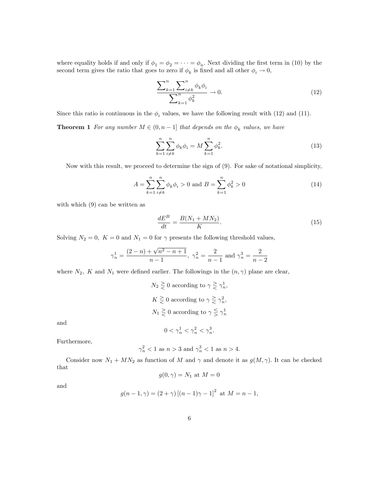where equality holds if and only if  $\phi_1 = \phi_2 = \cdots = \phi_n$ . Next dividing the first term in (10) by the second term gives the ratio that goes to zero if  $\phi_k$  is fixed and all other  $\phi_i \to 0$ ,

$$
\frac{\sum_{k=1}^{n} \sum_{i \neq k}^{n} \phi_k \phi_i}{\sum_{k=1}^{n} \phi_k^2} \to 0.
$$
\n(12)

Since this ratio is continuous in the  $\phi_i$  values, we have the following result with (12) and (11).

**Theorem 1** For any number  $M \in (0, n - 1]$  that depends on the  $\phi_k$  values, we have

$$
\sum_{k=1}^{n} \sum_{i \neq k}^{n} \phi_k \phi_i = M \sum_{k=1}^{n} \phi_k^2.
$$
 (13)

Now with this result, we proceed to determine the sign of (9). For sake of notational simplicity,

$$
A = \sum_{k=1}^{n} \sum_{i \neq k}^{n} \phi_k \phi_i > 0 \text{ and } B = \sum_{k=1}^{n} \phi_k^2 > 0
$$
 (14)

with which  $(9)$  can be written as

$$
\frac{dE^B}{dt} = \frac{B(N_1 + MN_2)}{K}.\tag{15}
$$

Solving  $N_2 = 0$ ,  $K = 0$  and  $N_1 = 0$  for  $\gamma$  presents the following threshold values,

$$
\gamma_n^1 = \frac{(2-n) + \sqrt{n^2 - n + 1}}{n-1}, \ \gamma_n^2 = \frac{2}{n-1} \text{ and } \gamma_n^3 = \frac{2}{n-2}
$$

where  $N_2$ , K and  $N_1$  were defined earlier. The followings in the  $(n, \gamma)$  plane are clear,

$$
N_2 \geq 0
$$
 according to  $\gamma \geq \gamma_n^1$ ,  

$$
K \geq 0
$$
 according to  $\gamma \geq \gamma_n^2$ ,  

$$
N_1 \geq 0
$$
 according to  $\gamma \leq \gamma_n^1$ 

and

$$
0<\gamma_n^1<\gamma_n^2<\gamma_n^3.
$$

Furthermore,

$$
\gamma_n^2 < 1
$$
 as  $n > 3$  and  $\gamma_n^3 < 1$  as  $n > 4$ .

Consider now  $N_1 + MN_2$  as function of M and  $\gamma$  and denote it as  $g(M, \gamma)$ . It can be checked that

$$
g(0, \gamma) = N_1 \text{ at } M = 0
$$

and

$$
g(n-1, \gamma) = (2+\gamma) [(n-1)\gamma - 1]^2
$$
 at  $M = n-1$ ,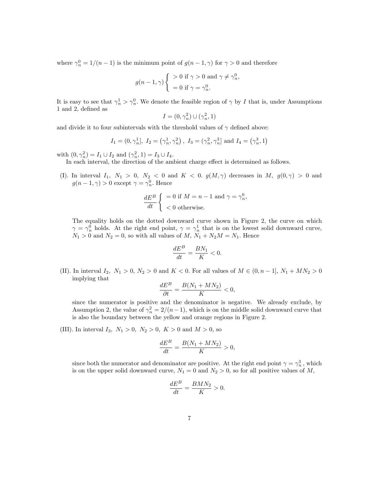where  $\gamma_n^0 = 1/(n-1)$  is the minimum point of  $g(n-1, \gamma)$  for  $\gamma > 0$  and therefore

$$
g(n-1,\gamma)\begin{cases} > 0 \text{ if } \gamma > 0 \text{ and } \gamma \neq \gamma_n^0 \\ &= 0 \text{ if } \gamma = \gamma_n^0. \end{cases}
$$

;

It is easy to see that  $\gamma_n^1 > \gamma_n^0$ . We denote the feasible region of  $\gamma$  by I that is, under Assumptions 1 and 2, defined as

$$
I = (0, \gamma_n^2) \cup (\gamma_n^2, 1)
$$

and divide it to four subintervals with the threshold values of  $\gamma$  defined above:

$$
I_1 = (0, \gamma_n^1], I_2 = (\gamma_n^1, \gamma_n^2), I_3 = (\gamma_n^2, \gamma_n^3]
$$
 and  $I_4 = (\gamma_n^3, 1)$ 

with  $(0, \gamma_n^2) = I_1 \cup I_2$  and  $(\gamma_n^2, 1) = I_3 \cup I_4$ .

In each interval, the direction of the ambient charge effect is determined as follows.

(I). In interval  $I_1, N_1 > 0, N_2 < 0$  and  $K < 0.$   $g(M, \gamma)$  decreases in M,  $g(0, \gamma) > 0$  and  $g(n-1,\gamma) > 0$  except  $\gamma = \gamma_n^0$ . Hence

$$
\frac{dE^B}{dt} \begin{cases} =0 \text{ if } M = n-1 \text{ and } \gamma = \gamma_n^0, \\ < 0 \text{ otherwise.} \end{cases}
$$

The equality holds on the dotted downward curve shown in Figure 2, the curve on which  $\gamma = \gamma_n^0$  holds. At the right end point,  $\gamma = \gamma_n^1$  that is on the lowest solid downward curve,  $N_1 > 0$  and  $N_2 = 0$ , so with all values of  $M, N_1 + N_2M = N_1$ . Hence

$$
\frac{dE^B}{dt} = \frac{BN_1}{K} < 0.
$$

(II). In interval  $I_2, N_1 > 0, N_2 > 0$  and  $K < 0$ . For all values of  $M \in (0, n - 1], N_1 + MN_2 > 0$ implying that

$$
\frac{dE^B}{\partial t} = \frac{B(N_1 + MN_2)}{K} < 0,
$$

since the numerator is positive and the denominator is negative. We already exclude, by Assumption 2, the value of  $\gamma_n^2 = 2/(n-1)$ , which is on the middle solid downward curve that is also the boundary between the yellow and orange regions in Figure 2.

(III). In interval  $I_3$ ,  $N_1 > 0$ ,  $N_2 > 0$ ,  $K > 0$  and  $M > 0$ , so

$$
\frac{dE^B}{dt} = \frac{B(N_1 + MN_2)}{K} > 0,
$$

since both the numerator and denominator are positive. At the right end point  $\gamma = \gamma_n^3$ , which is on the upper solid downward curve,  $N_1 = 0$  and  $N_2 > 0$ , so for all positive values of M,

$$
\frac{dE^B}{dt} = \frac{BMN_2}{K} > 0.
$$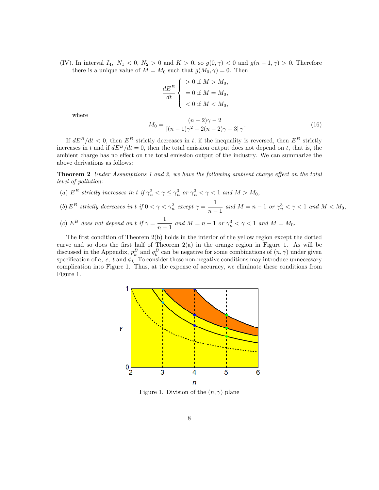(IV). In interval  $I_4$ ,  $N_1 < 0$ ,  $N_2 > 0$  and  $K > 0$ , so  $g(0, \gamma) < 0$  and  $g(n-1, \gamma) > 0$ . Therefore there is a unique value of  $M = M_0$  such that  $g(M_0, \gamma) = 0$ . Then

$$
\frac{dE^B}{dt} \begin{cases} > 0 \text{ if } M > M_0, \\ & = 0 \text{ if } M = M_0, \\ & < 0 \text{ if } M < M_0, \end{cases}
$$

where

$$
M_0 = \frac{(n-2)\gamma - 2}{[(n-1)\gamma^2 + 2(n-2)\gamma - 3]\gamma}.
$$
\n(16)

If  $dE^B/dt < 0$ , then  $E^B$  strictly decreases in t, if the inequality is reversed, then  $E^B$  strictly increases in t and if  $dE^B/dt = 0$ , then the total emission output does not depend on t, that is, the ambient charge has no effect on the total emission output of the industry. We can summarize the above derivations as follows:

**Theorem 2** Under Assumptions 1 and 2, we have the following ambient charge effect on the total level of pollution:

- (a)  $E^B$  strictly increases in t if  $\gamma_n^2 < \gamma \leq \gamma_n^3$  or  $\gamma_n^3 < \gamma < 1$  and  $M > M_0$ ,
- (b)  $E^B$  strictly decreases in t if  $0 < \gamma < \gamma_n^2$  except  $\gamma = \frac{1}{n}$  $\frac{1}{n-1}$  and  $M = n - 1$  or  $\gamma_n^3 < \gamma < 1$  and  $M < M_0$ ,
- (c)  $E^B$  does not depend on t if  $\gamma = \frac{1}{\sqrt{2\pi}}$  $\frac{1}{n-1}$  and  $M = n - 1$  or  $\gamma_n^3 < \gamma < 1$  and  $M = M_0$ .

The first condition of Theorem 2(b) holds in the interior of the yellow region except the dotted curve and so does the first half of Theorem  $2(a)$  in the orange region in Figure 1. As will be discussed in the Appendix,  $p_k^B$  and  $q_k^B$  can be negative for some combinations of  $(n, \gamma)$  under given specification of a, c, t and  $\phi_k$ . To consider these non-negative conditions may introduce unnecessary complication into Figure 1. Thus, at the expense of accuracy, we eliminate these conditions from Figure 1.



Figure 1. Division of the  $(n, \gamma)$  plane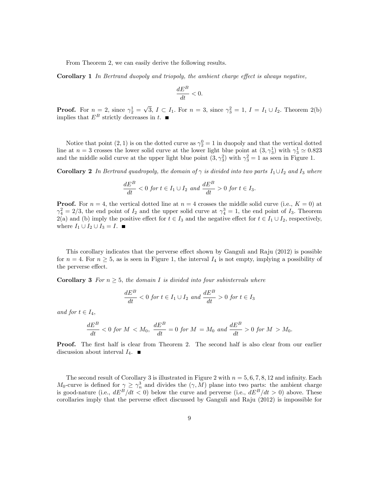From Theorem 2, we can easily derive the following results.

**Corollary 1** In Bertrand duopoly and triopoly, the ambient charge effect is always negative,

$$
\frac{dE^B}{dt} < 0.
$$

**Proof.** For  $n = 2$ , since  $\gamma_2^1 = \sqrt{3}$ ,  $I \subset I_1$ . For  $n = 3$ , since  $\gamma_3^2 = 1$ ,  $I = I_1 \cup I_2$ . Theorem 2(b) implies that  $E^B$  strictly decreases in t.

Notice that point  $(2, 1)$  is on the dotted curve as  $\gamma_2^0 = 1$  in duopoly and that the vertical dotted line at  $n=3$  crosses the lower solid curve at the lower light blue point at  $(3, \gamma_3^1)$  with  $\gamma_3^1 \simeq 0.823$ and the middle solid curve at the upper light blue point  $(3, \gamma_3^2)$  with  $\gamma_3^2 = 1$  as seen in Figure 1.

**Corollary 2** In Bertrand quadropoly, the domain of  $\gamma$  is divided into two parts  $I_1 \cup I_2$  and  $I_3$  where

$$
\frac{dE^B}{dt} < 0 \text{ for } t \in I_1 \cup I_2 \text{ and } \frac{dE^B}{dt} > 0 \text{ for } t \in I_3.
$$

**Proof.** For  $n = 4$ , the vertical dotted line at  $n = 4$  crosses the middle solid curve (i.e.,  $K = 0$ ) at  $\gamma_4^2 = 2/3$ , the end point of  $I_2$  and the upper solid curve at  $\gamma_4^3 = 1$ , the end point of  $I_3$ . Theorem 2(a) and (b) imply the positive effect for  $t \in I_3$  and the negative effect for  $t \in I_1 \cup I_2$ , respectively, where  $I_1 \cup I_2 \cup I_3 = I$ .

This corollary indicates that the perverse effect shown by Ganguli and Raju  $(2012)$  is possible for  $n = 4$ . For  $n \geq 5$ , as is seen in Figure 1, the interval  $I_4$  is not empty, implying a possibility of the perverse effect.

**Corollary 3** For  $n \geq 5$ , the domain I is divided into four subintervals where

$$
\frac{dE^B}{dt} < 0 \text{ for } t \in I_1 \cup I_2 \text{ and } \frac{dE^B}{dt} > 0 \text{ for } t \in I_3
$$

and for  $t \in I_4$ ,

$$
\frac{dE^B}{dt} < 0 \text{ for } M < M_0, \quad \frac{dE^B}{dt} = 0 \text{ for } M = M_0 \text{ and } \frac{dE^B}{dt} > 0 \text{ for } M > M_0.
$$

**Proof.** The first half is clear from Theorem 2. The second half is also clear from our earlier discussion about interval  $I_4$ .

The second result of Corollary 3 is illustrated in Figure 2 with  $n = 5, 6, 7, 8, 12$  and infinity. Each  $M_0$ -curve is defined for  $\gamma \geq \gamma_n^3$  and divides the  $(\gamma, M)$  plane into two parts: the ambient charge is good-nature (i.e.,  $dE^B/dt < 0$ ) below the curve and perverse (i.e.,  $dE^B/dt > 0$ ) above. These corollaries imply that the perverse effect discussed by Ganguli and Raju  $(2012)$  is impossible for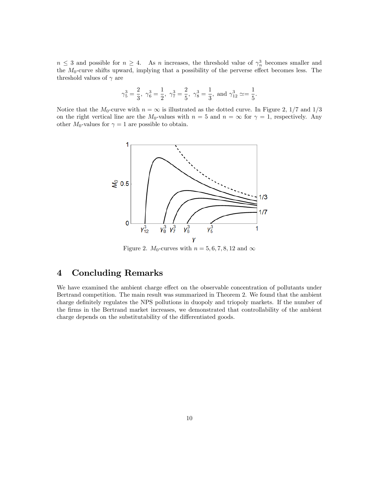$n \leq 3$  and possible for  $n \geq 4$ . As n increases, the threshold value of  $\gamma_n^3$  becomes smaller and the  $M_0$ -curve shifts upward, implying that a possibility of the perverse effect becomes less. The threshold values of  $\gamma$  are

$$
\gamma_5^3=\frac{2}{3},\; \gamma_6^3=\frac{1}{2},\; \gamma_7^3=\frac{2}{5},\; \gamma_8^3=\frac{1}{3},\; \text{and}\; \gamma_{12}^3\simeq=\frac{1}{5}.
$$

Notice that the  $M_0$ -curve with  $n = \infty$  is illustrated as the dotted curve. In Figure 2, 1/7 and 1/3 on the right vertical line are the  $M_0$ -values with  $n = 5$  and  $n = \infty$  for  $\gamma = 1$ , respectively. Any other  $M_0$ -values for  $\gamma = 1$  are possible to obtain.



Figure 2.  $M_0$ -curves with  $n = 5, 6, 7, 8, 12$  and  $\infty$ 

### 4 Concluding Remarks

We have examined the ambient charge effect on the observable concentration of pollutants under Bertrand competition. The main result was summarized in Theorem 2. We found that the ambient charge definitely regulates the NPS pollutions in duopoly and triopoly markets. If the number of the Örms in the Bertrand market increases, we demonstrated that controllability of the ambient charge depends on the substitutability of the differentiated goods.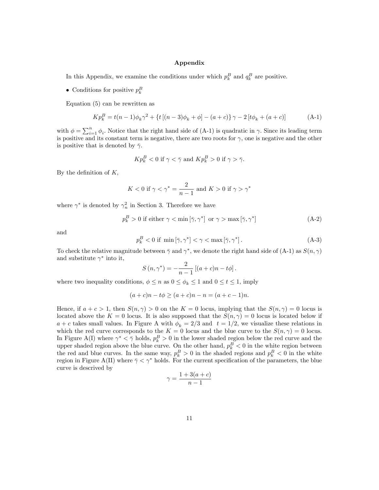#### Appendix

In this Appendix, we examine the conditions under which  $p_k^B$  and  $q_k^B$  are positive.

• Conditions for positive  $p_k^B$ 

Equation (5) can be rewritten as

$$
Kp_k^B = t(n-1)\phi_k\gamma^2 + \{t\left[(n-3)\phi_k + \phi\right] - (a+c)\}\gamma - 2\left[t\phi_k + (a+c)\right] \tag{A-1}
$$

with  $\phi = \sum_{i=1}^n \phi_i$ . Notice that the right hand side of (A-1) is quadratic in  $\gamma$ . Since its leading term is positive and its constant term is negative, there are two roots for  $\gamma$ , one is negative and the other is positive that is denoted by  $\bar{\gamma}$ .

$$
K p_k^B < 0 \text{ if } \gamma < \bar{\gamma} \text{ and } K p_k^B > 0 \text{ if } \gamma > \bar{\gamma}.
$$

By the definition of  $K$ ,

$$
K < 0 \text{ if } \gamma < \gamma^* = \frac{2}{n-1} \text{ and } K > 0 \text{ if } \gamma > \gamma^*
$$

where  $\gamma^*$  is denoted by  $\gamma_n^2$  in Section 3. Therefore we have

$$
p_k^B > 0 \text{ if either } \gamma < \min[\bar{\gamma}, \gamma^*] \text{ or } \gamma > \max[\bar{\gamma}, \gamma^*]
$$
 (A-2)

and

$$
p_k^B < 0 \text{ if } \min\left[\bar{\gamma}, \gamma^*\right] < \gamma < \max\left[\bar{\gamma}, \gamma^*\right].\tag{A-3}
$$

To check the relative magnitude between  $\bar{\gamma}$  and  $\gamma^*$ , we denote the right hand side of (A-1) as  $S(n,\gamma)$ and substitute  $\gamma^*$  into it,

$$
S(n, \gamma^*) = -\frac{2}{n-1} [(a+c)n - t\phi].
$$

where two inequality conditions,  $\phi \leq n$  as  $0 \leq \phi_k \leq 1$  and  $0 \leq t \leq 1$ , imply

$$
(a + c)n - t\phi \ge (a + c)n - n = (a + c - 1)n.
$$

Hence, if  $a + c > 1$ , then  $S(n, \gamma) > 0$  on the  $K = 0$  locus, implying that the  $S(n, \gamma) = 0$  locus is located above the  $K = 0$  locus. It is also supposed that the  $S(n, \gamma) = 0$  locus is located below if  $a + c$  takes small values. In Figure A with  $\phi_k = 2/3$  and  $t = 1/2$ , we visualize these relations in which the red curve corresponds to the  $K = 0$  locus and the blue curve to the  $S(n, \gamma) = 0$  locus. In Figure A(I) where  $\gamma^* < \bar{\gamma}$  holds,  $p_k^B > 0$  in the lower shaded region below the red curve and the upper shaded region above the blue curve. On the other hand,  $p_k^B < 0$  in the white region between the red and blue curves. In the same way,  $p_k^B > 0$  in the shaded regions and  $p_k^B < 0$  in the white region in Figure A(II) where  $\bar{\gamma} < \gamma^*$  holds. For the current specification of the parameters, the blue curve is descrived by

$$
\gamma = \frac{1 + 3(a + c)}{n - 1}
$$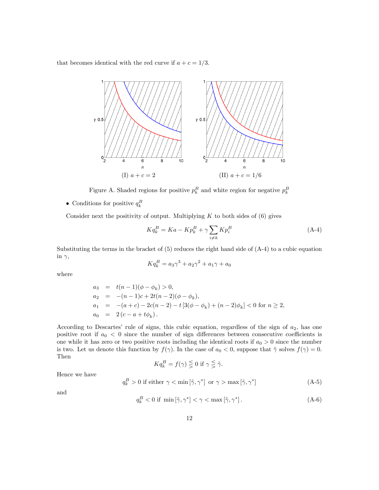that becomes identical with the red curve if  $a + c = 1/3$ .



Figure A. Shaded regions for positive  $p_k^B$  and white region for negative  $p_k^B$ 

• Conditions for positive  $q_k^B$ 

Consider next the positivity of output. Multiplying  $K$  to both sides of  $(6)$  gives

$$
Kq_k^B = Ka - Kp_k^B + \gamma \sum_{i \neq k} Kp_i^B \tag{A-4}
$$

Substituting the terms in the bracket of (5) reduces the right hand side of (A-4) to a cubic equation in  $\gamma$ ,

$$
Kq_k^B = a_3\gamma^3 + a_2\gamma^2 + a_1\gamma + a_0
$$

where

$$
a_3 = t(n-1)(\phi - \phi_k) > 0,
$$
  
\n
$$
a_2 = -(n-1)c + 2t(n-2)(\phi - \phi_k),
$$
  
\n
$$
a_1 = -(a+c) - 2c(n-2) - t[3(\phi - \phi_k) + (n-2)\phi_k] < 0 \text{ for } n \ge 2,
$$
  
\n
$$
a_0 = 2(c-a+t\phi_k).
$$

According to Descartes' rule of signs, this cubic equation, regardless of the sign of  $a_2$ , has one positive root if  $a_0 < 0$  since the number of sign differences between consecutive coefficients is one while it has zero or two positive roots including the identical roots if  $a_0 > 0$  since the number is two. Let us denote this function by  $f(\gamma)$ . In the case of  $a_0 < 0$ , suppose that  $\tilde{\gamma}$  solves  $f(\gamma) = 0$ . Then

$$
K q_k^B = f(\gamma) \lesseqgtr 0 \text{ if } \gamma \leq \tilde{\gamma}.
$$

Hence we have

$$
q_k^B > 0 \text{ if either } \gamma < \min[\tilde{\gamma}, \gamma^*] \text{ or } \gamma > \max[\tilde{\gamma}, \gamma^*]
$$
 (A-5)

and

$$
q_k^B < 0 \text{ if } \min\left[\tilde{\gamma}, \gamma^*\right] < \gamma < \max\left[\tilde{\gamma}, \gamma^*\right].\tag{A-6}
$$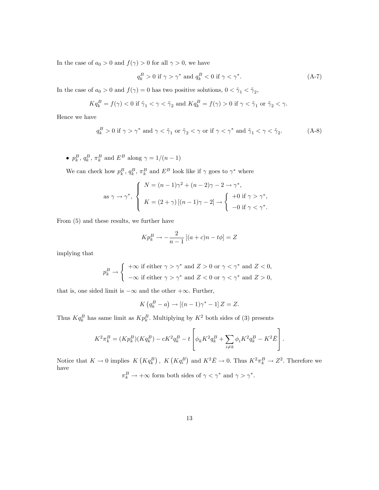In the case of  $a_0 > 0$  and  $f(\gamma) > 0$  for all  $\gamma > 0$ , we have

$$
q_k^B > 0 \text{ if } \gamma > \gamma^* \text{ and } q_k^B < 0 \text{ if } \gamma < \gamma^*.
$$
 (A-7)

In the case of  $a_0 > 0$  and  $f(\gamma) = 0$  has two positive solutions,  $0 < \tilde{\gamma}_1 < \tilde{\gamma}_2$ ,

$$
Kq_k^B = f(\gamma) < 0 \text{ if } \tilde{\gamma}_1 < \gamma < \tilde{\gamma}_2 \text{ and } Kq_k^B = f(\gamma) > 0 \text{ if } \gamma < \tilde{\gamma}_1 \text{ or } \tilde{\gamma}_2 < \gamma.
$$

Hence we have

$$
q_k^B > 0 \text{ if } \gamma > \gamma^* \text{ and } \gamma < \tilde{\gamma}_1 \text{ or } \tilde{\gamma}_2 < \gamma \text{ or if } \gamma < \gamma^* \text{ and } \tilde{\gamma}_1 < \gamma < \tilde{\gamma}_2. \tag{A-8}
$$

•  $p_k^B$ ,  $q_k^B$ ,  $\pi_k^B$  and  $E^B$  along  $\gamma = 1/(n-1)$ 

We can check how  $p_k^B$ ,  $q_k^B$ ,  $\pi_k^B$  and  $E^B$  look like if  $\gamma$  goes to  $\gamma^*$  where

as 
$$
\gamma \to \gamma^*
$$
, 
$$
\begin{cases} N = (n-1)\gamma^2 + (n-2)\gamma - 2 \to \gamma^*, \\ K = (2+\gamma)[(n-1)\gamma - 2] \to \begin{cases} +0 \text{ if } \gamma > \gamma^*, \\ -0 \text{ if } \gamma < \gamma^*.\end{cases}
$$

From (5) and these results, we further have

$$
K p_k^B \to -\frac{2}{n-1} [(a+c)n - t\phi] = Z
$$

implying that

$$
p_k^B \to \begin{cases} +\infty \text{ if either } \gamma > \gamma^* \text{ and } Z > 0 \text{ or } \gamma < \gamma^* \text{ and } Z < 0, \\ -\infty \text{ if either } \gamma > \gamma^* \text{ and } Z < 0 \text{ or } \gamma < \gamma^* \text{ and } Z > 0, \end{cases}
$$

that is, one sided limit is  $-\infty$  and the other  $+\infty$ . Further,

$$
K\left(q_k^B - a\right) \to \left[\left(n-1\right)\gamma^* - 1\right]Z = Z.
$$

Thus  $Kq_k^B$  has same limit as  $Kp_k^B$ . Multiplying by  $K^2$  both sides of (3) presents

$$
K^{2}\pi_{k}^{B} = (Kp_{k}^{B})(Kq_{k}^{B}) - cK^{2}q_{k}^{B} - t\left[\phi_{k}K^{2}q_{k}^{B} + \sum_{i\neq k}\phi_{i}K^{2}q_{k}^{B} - K^{2}\bar{E}\right].
$$

Notice that  $K \to 0$  implies  $K(Kq_k^B)$ ,  $K(Kq_i^B)$  and  $K^2\overline{E} \to 0$ . Thus  $K^2\pi_k^B \to Z^2$ . Therefore we have

 $\pi_k^B \to +\infty$  form both sides of  $\gamma < \gamma^*$  and  $\gamma > \gamma^*$ .